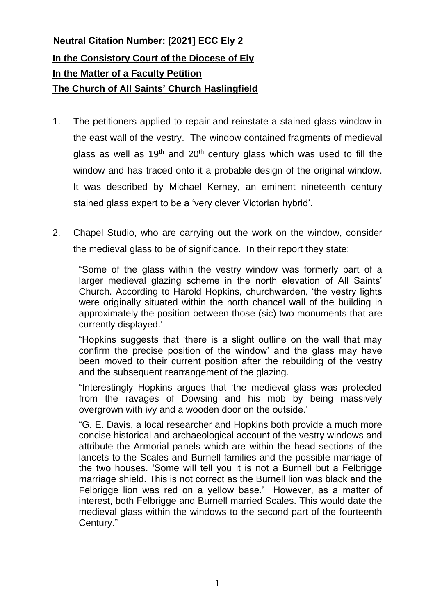## **In the Consistory Court of the Diocese of Ely In the Matter of a Faculty Petition The Church of All Saints' Church Haslingfield Neutral Citation Number: [2021] ECC Ely 2**

- 1. The petitioners applied to repair and reinstate a stained glass window in the east wall of the vestry. The window contained fragments of medieval glass as well as  $19<sup>th</sup>$  and  $20<sup>th</sup>$  century glass which was used to fill the window and has traced onto it a probable design of the original window. It was described by Michael Kerney, an eminent nineteenth century stained glass expert to be a 'very clever Victorian hybrid'.
- 2. Chapel Studio, who are carrying out the work on the window, consider the medieval glass to be of significance. In their report they state:

"Some of the glass within the vestry window was formerly part of a larger medieval glazing scheme in the north elevation of All Saints' Church. According to Harold Hopkins, churchwarden, 'the vestry lights were originally situated within the north chancel wall of the building in approximately the position between those (sic) two monuments that are currently displayed.'

"Hopkins suggests that 'there is a slight outline on the wall that may confirm the precise position of the window' and the glass may have been moved to their current position after the rebuilding of the vestry and the subsequent rearrangement of the glazing.

"Interestingly Hopkins argues that 'the medieval glass was protected from the ravages of Dowsing and his mob by being massively overgrown with ivy and a wooden door on the outside.'

"G. E. Davis, a local researcher and Hopkins both provide a much more concise historical and archaeological account of the vestry windows and attribute the Armorial panels which are within the head sections of the lancets to the Scales and Burnell families and the possible marriage of the two houses. 'Some will tell you it is not a Burnell but a Felbrigge marriage shield. This is not correct as the Burnell lion was black and the Felbrigge lion was red on a yellow base.' However, as a matter of interest, both Felbrigge and Burnell married Scales. This would date the medieval glass within the windows to the second part of the fourteenth Century."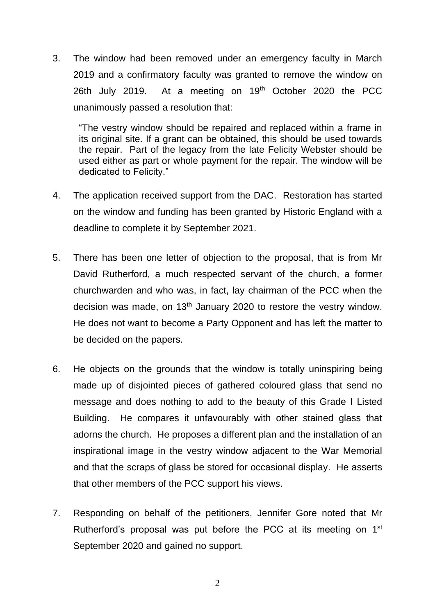3. The window had been removed under an emergency faculty in March 2019 and a confirmatory faculty was granted to remove the window on 26th July 2019. At a meeting on  $19<sup>th</sup>$  October 2020 the PCC unanimously passed a resolution that:

"The vestry window should be repaired and replaced within a frame in its original site. If a grant can be obtained, this should be used towards the repair. Part of the legacy from the late Felicity Webster should be used either as part or whole payment for the repair. The window will be dedicated to Felicity."

- 4. The application received support from the DAC. Restoration has started on the window and funding has been granted by Historic England with a deadline to complete it by September 2021.
- 5. There has been one letter of objection to the proposal, that is from Mr David Rutherford, a much respected servant of the church, a former churchwarden and who was, in fact, lay chairman of the PCC when the decision was made, on 13<sup>th</sup> January 2020 to restore the vestry window. He does not want to become a Party Opponent and has left the matter to be decided on the papers.
- 6. He objects on the grounds that the window is totally uninspiring being made up of disjointed pieces of gathered coloured glass that send no message and does nothing to add to the beauty of this Grade I Listed Building. He compares it unfavourably with other stained glass that adorns the church. He proposes a different plan and the installation of an inspirational image in the vestry window adjacent to the War Memorial and that the scraps of glass be stored for occasional display. He asserts that other members of the PCC support his views.
- 7. Responding on behalf of the petitioners, Jennifer Gore noted that Mr Rutherford's proposal was put before the PCC at its meeting on 1<sup>st</sup> September 2020 and gained no support.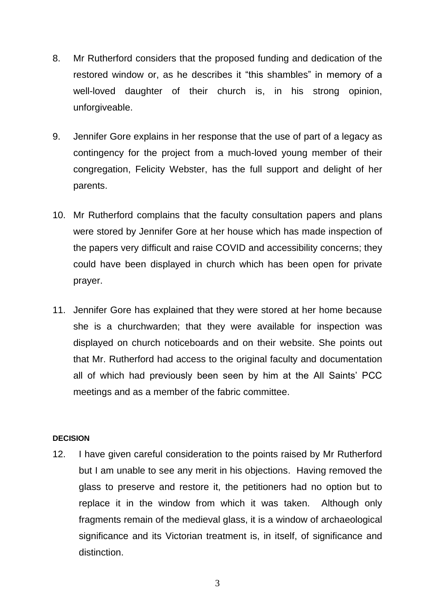- 8. Mr Rutherford considers that the proposed funding and dedication of the restored window or, as he describes it "this shambles" in memory of a well-loved daughter of their church is, in his strong opinion, unforgiveable.
- 9. Jennifer Gore explains in her response that the use of part of a legacy as contingency for the project from a much-loved young member of their congregation, Felicity Webster, has the full support and delight of her parents.
- 10. Mr Rutherford complains that the faculty consultation papers and plans were stored by Jennifer Gore at her house which has made inspection of the papers very difficult and raise COVID and accessibility concerns; they could have been displayed in church which has been open for private prayer.
- 11. Jennifer Gore has explained that they were stored at her home because she is a churchwarden; that they were available for inspection was displayed on church noticeboards and on their website. She points out that Mr. Rutherford had access to the original faculty and documentation all of which had previously been seen by him at the All Saints' PCC meetings and as a member of the fabric committee.

## **DECISION**

12. I have given careful consideration to the points raised by Mr Rutherford but I am unable to see any merit in his objections. Having removed the glass to preserve and restore it, the petitioners had no option but to replace it in the window from which it was taken. Although only fragments remain of the medieval glass, it is a window of archaeological significance and its Victorian treatment is, in itself, of significance and distinction.

3